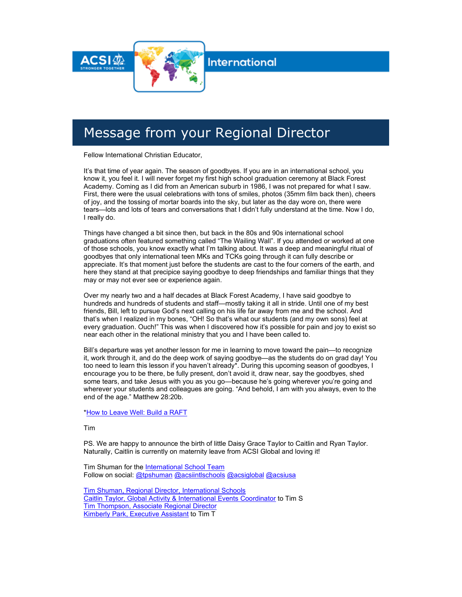

**International** 

# Message from your Regional Director

Fellow International Christian Educator,

It's that time of year again. The season of goodbyes. If you are in an international school, you know it, you feel it. I will never forget my first high school graduation ceremony at Black Forest Academy. Coming as I did from an American suburb in 1986, I was not prepared for what I saw. First, there were the usual celebrations with tons of smiles, photos (35mm film back then), cheers of joy, and the tossing of mortar boards into the sky, but later as the day wore on, there were tears—lots and lots of tears and conversations that I didn't fully understand at the time. Now I do, I really do.

Things have changed a bit since then, but back in the 80s and 90s international school graduations often featured something called "The Wailing Wall". If you attended or worked at one of those schools, you know exactly what I'm talking about. It was a deep and meaningful ritual of goodbyes that only international teen MKs and TCKs going through it can fully describe or appreciate. It's that moment just before the students are cast to the four corners of the earth, and here they stand at that precipice saying goodbye to deep friendships and familiar things that they may or may not ever see or experience again.

Over my nearly two and a half decades at Black Forest Academy, I have said goodbye to hundreds and hundreds of students and staff—mostly taking it all in stride. Until one of my best friends, Bill, left to pursue God's next calling on his life far away from me and the school. And that's when I realized in my bones, "OH! So that's what our students (and my own sons) feel at every graduation. Ouch!" This was when I discovered how it's possible for pain and joy to exist so near each other in the relational ministry that you and I have been called to.

Bill's departure was yet another lesson for me in learning to move toward the pain—to recognize it, work through it, and do the deep work of saying goodbye—as the students do on grad day! You too need to learn this lesson if you haven't already\*. During this upcoming season of goodbyes, I encourage you to be there, be fully present, don't avoid it, draw near, say the goodbyes, shed some tears, and take Jesus with you as you go—because he's going wherever you're going and wherever your students and colleagues are going. "And behold, I am with you always, even to the end of the age." Matthew 28:20b.

[\\*How to Leave Well: Build a RAFT](http://link.acsi.org/c/7/eyJhaSI6ODcyOTMzMTMsImUiOiJ0aW1fc2h1bWFuQGFjc2kub3JnIiwicmkiOiJjb250YWN0LTViOGU4OGI4M2I2M2U4MTE4MGQwMDJiZmMwYTgwMTcyLWRhYjgyOTA0ZjFkMDQzNWY5MDAzMWJmMzBkMjkzZTUzIiwicnEiOiIwMi1iMjIxMjMtNTk5N2EzNTQ4ZTE5NDk1Zjg4N2VhYWQwZmRiOGFlNTUiLCJwaCI6bnVsbCwibSI6ZmFsc2UsInVpIjoiMiIsInVuIjoiIiwidSI6Imh0dHBzOi8vcmFpc2luZ3Rja3MuY29tLzIwMTQvMDUvMjYvaG93LXRvLWxlYXZlLXdlbGwtYnVpbGQtYS1yYWZ0Lz9fY2xkZWU9eGoya1dSa1NGamtZb1UxendJUmlvSUZnUEI4YTRVNktQX2pUQVdTMDAtTUNJNEZLRDVHU29MY0lPM0Z5bS1LVyZyZWNpcGllbnRpZD1jb250YWN0LTViOGU4OGI4M2I2M2U4MTE4MGQwMDJiZmMwYTgwMTcyLWRhYjgyOTA0ZjFkMDQzNWY5MDAzMWJmMzBkMjkzZTUzJmVzaWQ9Njc5ODRhMzctNjVjNi1lYzExLTgxMWItMDAwZDNhMDFjZmQzIn0/nIhyAEezxx_sKSxLnAdiuA) 

Tim

PS. We are happy to announce the birth of little Daisy Grace Taylor to Caitlin and Ryan Taylor. Naturally, Caitlin is currently on maternity leave from ACSI Global and loving it!

Tim Shuman for the International School Team Follow on social: [@tpshuman](http://link.acsi.org/c/7/eyJhaSI6ODcyOTMzMTMsImUiOiJ0aW1fc2h1bWFuQGFjc2kub3JnIiwicmkiOiJjb250YWN0LTViOGU4OGI4M2I2M2U4MTE4MGQwMDJiZmMwYTgwMTcyLWRhYjgyOTA0ZjFkMDQzNWY5MDAzMWJmMzBkMjkzZTUzIiwicnEiOiIwMi1iMjIxMjMtNTk5N2EzNTQ4ZTE5NDk1Zjg4N2VhYWQwZmRiOGFlNTUiLCJwaCI6bnVsbCwibSI6ZmFsc2UsInVpIjoiNCIsInVuIjoiIiwidSI6Imh0dHBzOi8vdHdpdHRlci5jb20vdHBzaHVtYW4_X2NsZGVlPXhqMmtXUmtTRmprWW9VMXp3SVJpb0lGZ1BCOGE0VTZLUF9qVEFXUzAwLU1DSTRGS0Q1R1NvTGNJTzNGeW0tS1cmcmVjaXBpZW50aWQ9Y29udGFjdC01YjhlODhiODNiNjNlODExODBkMDAyYmZjMGE4MDE3Mi1kYWI4MjkwNGYxZDA0MzVmOTAwMzFiZjMwZDI5M2U1MyZlc2lkPTY3OTg0YTM3LTY1YzYtZWMxMS04MTFiLTAwMGQzYTAxY2ZkMyJ9/J8ZZQV6iEN4VlUB2Ky8ySg) [@acsiintlschools](http://link.acsi.org/c/7/eyJhaSI6ODcyOTMzMTMsImUiOiJ0aW1fc2h1bWFuQGFjc2kub3JnIiwicmkiOiJjb250YWN0LTViOGU4OGI4M2I2M2U4MTE4MGQwMDJiZmMwYTgwMTcyLWRhYjgyOTA0ZjFkMDQzNWY5MDAzMWJmMzBkMjkzZTUzIiwicnEiOiIwMi1iMjIxMjMtNTk5N2EzNTQ4ZTE5NDk1Zjg4N2VhYWQwZmRiOGFlNTUiLCJwaCI6bnVsbCwibSI6ZmFsc2UsInVpIjoiNSIsInVuIjoiIiwidSI6Imh0dHBzOi8vdHdpdHRlci5jb20vQUNTSUlOVExTQ0hPT0xTP19jbGRlZT14ajJrV1JrU0Zqa1lvVTF6d0lSaW9JRmdQQjhhNFU2S1BfalRBV1MwMC1NQ0k0RktENUdTb0xjSU8zRnltLUtXJnJlY2lwaWVudGlkPWNvbnRhY3QtNWI4ZTg4YjgzYjYzZTgxMTgwZDAwMmJmYzBhODAxNzItZGFiODI5MDRmMWQwNDM1ZjkwMDMxYmYzMGQyOTNlNTMmZXNpZD02Nzk4NGEzNy02NWM2LWVjMTEtODExYi0wMDBkM2EwMWNmZDMifQ/PS_hKntbaN-vACJLBaoVeg) [@acsiglobal](http://link.acsi.org/c/7/eyJhaSI6ODcyOTMzMTMsImUiOiJ0aW1fc2h1bWFuQGFjc2kub3JnIiwicmkiOiJjb250YWN0LTViOGU4OGI4M2I2M2U4MTE4MGQwMDJiZmMwYTgwMTcyLWRhYjgyOTA0ZjFkMDQzNWY5MDAzMWJmMzBkMjkzZTUzIiwicnEiOiIwMi1iMjIxMjMtNTk5N2EzNTQ4ZTE5NDk1Zjg4N2VhYWQwZmRiOGFlNTUiLCJwaCI6bnVsbCwibSI6ZmFsc2UsInVpIjoiNiIsInVuIjoiIiwidSI6Imh0dHBzOi8vdHdpdHRlci5jb20vQWNzaUdsb2JhbD9fY2xkZWU9eGoya1dSa1NGamtZb1UxendJUmlvSUZnUEI4YTRVNktQX2pUQVdTMDAtTUNJNEZLRDVHU29MY0lPM0Z5bS1LVyZyZWNpcGllbnRpZD1jb250YWN0LTViOGU4OGI4M2I2M2U4MTE4MGQwMDJiZmMwYTgwMTcyLWRhYjgyOTA0ZjFkMDQzNWY5MDAzMWJmMzBkMjkzZTUzJmVzaWQ9Njc5ODRhMzctNjVjNi1lYzExLTgxMWItMDAwZDNhMDFjZmQzIn0/2j44TP20BJwngImwfgOjig) [@acsiusa](http://link.acsi.org/c/7/eyJhaSI6ODcyOTMzMTMsImUiOiJ0aW1fc2h1bWFuQGFjc2kub3JnIiwicmkiOiJjb250YWN0LTViOGU4OGI4M2I2M2U4MTE4MGQwMDJiZmMwYTgwMTcyLWRhYjgyOTA0ZjFkMDQzNWY5MDAzMWJmMzBkMjkzZTUzIiwicnEiOiIwMi1iMjIxMjMtNTk5N2EzNTQ4ZTE5NDk1Zjg4N2VhYWQwZmRiOGFlNTUiLCJwaCI6bnVsbCwibSI6ZmFsc2UsInVpIjoiNyIsInVuIjoiIiwidSI6Imh0dHBzOi8vdHdpdHRlci5jb20vQUNTSVVTQT9fY2xkZWU9eGoya1dSa1NGamtZb1UxendJUmlvSUZnUEI4YTRVNktQX2pUQVdTMDAtTUNJNEZLRDVHU29MY0lPM0Z5bS1LVyZyZWNpcGllbnRpZD1jb250YWN0LTViOGU4OGI4M2I2M2U4MTE4MGQwMDJiZmMwYTgwMTcyLWRhYjgyOTA0ZjFkMDQzNWY5MDAzMWJmMzBkMjkzZTUzJmVzaWQ9Njc5ODRhMzctNjVjNi1lYzExLTgxMWItMDAwZDNhMDFjZmQzIn0/QgGu5xewTpyV25RQ7Yt8GQ) 

[Tim Shuman, Regional Director, International Schools](mailto:tim_shuman@acsi.org)  [Caitlin Taylor, Global Activity & International Events Coordinator](mailto:caitlin_taylor@acsi.org) to Tim S [Tim Thompson, Associate Regional Director](mailto:tim_thompson@acsi.org)  [Kimberly Park, Executive](mailto:kimberly_park@acsi.org) Assistant to Tim T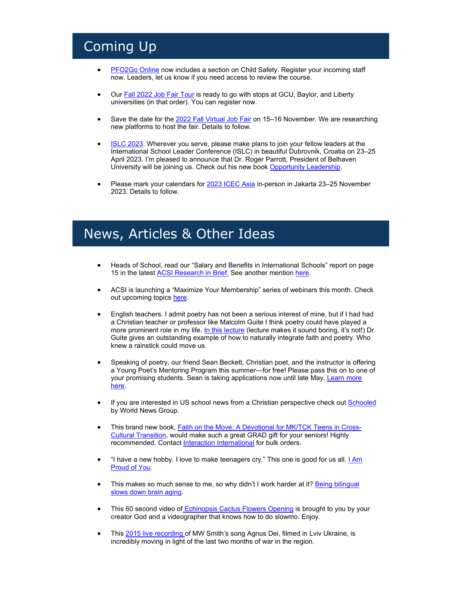# Coming Up

- [PFO2Go Online](http://link.acsi.org/c/7/eyJhaSI6ODcyOTMzMTMsImUiOiJ0aW1fc2h1bWFuQGFjc2kub3JnIiwicmkiOiJjb250YWN0LTViOGU4OGI4M2I2M2U4MTE4MGQwMDJiZmMwYTgwMTcyLWRhYjgyOTA0ZjFkMDQzNWY5MDAzMWJmMzBkMjkzZTUzIiwicnEiOiIwMi1iMjIxMjMtNTk5N2EzNTQ4ZTE5NDk1Zjg4N2VhYWQwZmRiOGFlNTUiLCJwaCI6bnVsbCwibSI6ZmFsc2UsInVpIjoiOCIsInVuIjoiIiwidSI6Imh0dHA6Ly9saW5rLmFjc2kub3JnL2MvNi8_VD1PRGN5T1RNek1UTSUzQU1ESXRZakl4TVRnM0xXRXdNR05oWldJMU1HWXdORFF5T0dWaE9EUTBZVFF6WkdZeVpHUTBOR0V4JTNBWTNCc1FHSm1ZV05oWkdWdGVTNWtaUSUzQVkyOXVkR0ZqZEMwMU5EaGlaVEExTURRd05qTmxPREV4T0RCa01EQXlZbVpqTUdFNE1ERTNNaTFtWkRJNU16QTFOelExTXpVME1HVTVPRGRoT1Roa1ptWmpaRGRqWlRWbE9RJTNBWm1Gc2MyVSUzQU1UQSUzQSUzQWFIUjBjSE02THk5M2QzY3VZV056YVM1dmNtY3ZaMnh2WW1Gc0wybHVkR1Z5Ym1GMGFXOXVZV3d0YzJOb2IyOXNjeTlsZG1WdWRITXZjR1p2TW1kdlAxOWpiR1JsWlQxWk0wSnpVVWRLYlZsWFRtaGFSMVowWlZNMWExcFJKVE5rSlROa0puSmxZMmx3YVdWdWRHbGtQV052Ym5SaFkzUXROVFE0WW1Vd05UQTBNRFl6WlRneE1UZ3daREF3TW1KbVl6QmhPREF4TnpJdFptUXlPVE13TlRjME5UTTFOREJsT1RnM1lUazRaR1ptWTJRM1kyVTFaVGttWlhOcFpEMWlORE0xTnpFek1DMHdNbVEyTFdWaU1URXRPREV4TXkwd01EQmtNMkV3TTJaaFlXWSZLPVMyaVBNdnRjZGNETzYtXzhEdGctc2cmX2NsZGVlPXhqMmtXUmtTRmprWW9VMXp3SVJpb0lGZ1BCOGE0VTZLUF9qVEFXUzAwLU1DSTRGS0Q1R1NvTGNJTzNGeW0tS1cmcmVjaXBpZW50aWQ9Y29udGFjdC01YjhlODhiODNiNjNlODExODBkMDAyYmZjMGE4MDE3Mi1kYWI4MjkwNGYxZDA0MzVmOTAwMzFiZjMwZDI5M2U1MyZlc2lkPTY3OTg0YTM3LTY1YzYtZWMxMS04MTFiLTAwMGQzYTAxY2ZkMyJ9/8_jcf_KoJdCbmh6zd4br0w) now includes a section on Child Safety. Register your incoming staff now. Leaders, let us know if you need access to review the course.
- Our **Fall 2022 Job Fair Tour** is ready to go with stops at GCU, Baylor, and Liberty universities (in that order). You can register now.
- Save the date for the [2022 Fall Virtual Job Fair](http://link.acsi.org/c/7/eyJhaSI6ODcyOTMzMTMsImUiOiJ0aW1fc2h1bWFuQGFjc2kub3JnIiwicmkiOiJjb250YWN0LTViOGU4OGI4M2I2M2U4MTE4MGQwMDJiZmMwYTgwMTcyLWRhYjgyOTA0ZjFkMDQzNWY5MDAzMWJmMzBkMjkzZTUzIiwicnEiOiIwMi1iMjIxMjMtNTk5N2EzNTQ4ZTE5NDk1Zjg4N2VhYWQwZmRiOGFlNTUiLCJwaCI6bnVsbCwibSI6ZmFsc2UsInVpIjoiMTAiLCJ1biI6IiIsInUiOiJodHRwczovL3d3dy5hY3NpLm9yZy9nbG9iYWwvaW50ZXJuYXRpb25hbC1zY2hvb2xzL2V2ZW50cy9qb2ItZmFpci8yMDIyLWZhbGwtdmlydHVhbC1qb2ItZmFpcj9fY2xkZWU9eGoya1dSa1NGamtZb1UxendJUmlvSUZnUEI4YTRVNktQX2pUQVdTMDAtTUNJNEZLRDVHU29MY0lPM0Z5bS1LVyZyZWNpcGllbnRpZD1jb250YWN0LTViOGU4OGI4M2I2M2U4MTE4MGQwMDJiZmMwYTgwMTcyLWRhYjgyOTA0ZjFkMDQzNWY5MDAzMWJmMzBkMjkzZTUzJmVzaWQ9Njc5ODRhMzctNjVjNi1lYzExLTgxMWItMDAwZDNhMDFjZmQzIn0/mNvdjdiLULO1JXeMRRLJqw) on 15–16 November. We are researching new platforms to host the fair. Details to follow.
- [ISLC 2023.](http://link.acsi.org/c/7/eyJhaSI6ODcyOTMzMTMsImUiOiJ0aW1fc2h1bWFuQGFjc2kub3JnIiwicmkiOiJjb250YWN0LTViOGU4OGI4M2I2M2U4MTE4MGQwMDJiZmMwYTgwMTcyLWRhYjgyOTA0ZjFkMDQzNWY5MDAzMWJmMzBkMjkzZTUzIiwicnEiOiIwMi1iMjIxMjMtNTk5N2EzNTQ4ZTE5NDk1Zjg4N2VhYWQwZmRiOGFlNTUiLCJwaCI6bnVsbCwibSI6ZmFsc2UsInVpIjoiMTEiLCJ1biI6IiIsInUiOiJodHRwczovL3d3dy5hY3NpLm9yZy9nbG9iYWwvaW50ZXJuYXRpb25hbC1zY2hvb2xzL2V2ZW50cy9pc2xjLTIwMjMvP19jbGRlZT14ajJrV1JrU0Zqa1lvVTF6d0lSaW9JRmdQQjhhNFU2S1BfalRBV1MwMC1NQ0k0RktENUdTb0xjSU8zRnltLUtXJnJlY2lwaWVudGlkPWNvbnRhY3QtNWI4ZTg4YjgzYjYzZTgxMTgwZDAwMmJmYzBhODAxNzItZGFiODI5MDRmMWQwNDM1ZjkwMDMxYmYzMGQyOTNlNTMmZXNpZD02Nzk4NGEzNy02NWM2LWVjMTEtODExYi0wMDBkM2EwMWNmZDMifQ/7nA9M4Ppn0hDOdiWRL-8kg) Wherever you serve, please make plans to join your fellow leaders at the International School Leader Conference (ISLC) in beautiful Dubrovnik, Croatia on 23–25 April 2023. I'm pleased to announce that Dr. Roger Parrott, President of Belhaven University will be joining us. Check out his new boo[k Opportunity Leadership.](http://link.acsi.org/c/7/eyJhaSI6ODcyOTMzMTMsImUiOiJ0aW1fc2h1bWFuQGFjc2kub3JnIiwicmkiOiJjb250YWN0LTViOGU4OGI4M2I2M2U4MTE4MGQwMDJiZmMwYTgwMTcyLWRhYjgyOTA0ZjFkMDQzNWY5MDAzMWJmMzBkMjkzZTUzIiwicnEiOiIwMi1iMjIxMjMtNTk5N2EzNTQ4ZTE5NDk1Zjg4N2VhYWQwZmRiOGFlNTUiLCJwaCI6bnVsbCwibSI6ZmFsc2UsInVpIjoiMTIiLCJ1biI6IiIsInUiOiJodHRwczovL3d3dy5hbWF6b24uY29tL09wcG9ydHVuaXR5LUxlYWRlcnNoaXAtUGxhbm5pbmctR2V0dGluZy1SZXN1bHRzL2RwLzA4MDI0MjMyMTM_X2NsZGVlPXhqMmtXUmtTRmprWW9VMXp3SVJpb0lGZ1BCOGE0VTZLUF9qVEFXUzAwLU1DSTRGS0Q1R1NvTGNJTzNGeW0tS1cmcmVjaXBpZW50aWQ9Y29udGFjdC01YjhlODhiODNiNjNlODExODBkMDAyYmZjMGE4MDE3Mi1kYWI4MjkwNGYxZDA0MzVmOTAwMzFiZjMwZDI5M2U1MyZlc2lkPTY3OTg0YTM3LTY1YzYtZWMxMS04MTFiLTAwMGQzYTAxY2ZkMyJ9/-XQ1_FMWTe_1tkFPunjtrQ)
- Please mark your calendars for [2023 ICEC Asia](http://link.acsi.org/c/7/eyJhaSI6ODcyOTMzMTMsImUiOiJ0aW1fc2h1bWFuQGFjc2kub3JnIiwicmkiOiJjb250YWN0LTViOGU4OGI4M2I2M2U4MTE4MGQwMDJiZmMwYTgwMTcyLWRhYjgyOTA0ZjFkMDQzNWY5MDAzMWJmMzBkMjkzZTUzIiwicnEiOiIwMi1iMjIxMjMtNTk5N2EzNTQ4ZTE5NDk1Zjg4N2VhYWQwZmRiOGFlNTUiLCJwaCI6bnVsbCwibSI6ZmFsc2UsInVpIjoiMTMiLCJ1biI6IiIsInUiOiJodHRwczovL3d3dy5hY3NpLm9yZy9nbG9iYWwvaW50ZXJuYXRpb25hbC1zY2hvb2xzL2V2ZW50cy9pY2VjLWFzaWEtMjAyMz9fY2xkZWU9eGoya1dSa1NGamtZb1UxendJUmlvSUZnUEI4YTRVNktQX2pUQVdTMDAtTUNJNEZLRDVHU29MY0lPM0Z5bS1LVyZyZWNpcGllbnRpZD1jb250YWN0LTViOGU4OGI4M2I2M2U4MTE4MGQwMDJiZmMwYTgwMTcyLWRhYjgyOTA0ZjFkMDQzNWY5MDAzMWJmMzBkMjkzZTUzJmVzaWQ9Njc5ODRhMzctNjVjNi1lYzExLTgxMWItMDAwZDNhMDFjZmQzIn0/syhIvKXe6W03B9Df6mwCJQ) in-person in Jakarta 23–25 November 2023. Details to follow.

### News, Articles & Other Ideas

- Heads of School, read our "Salary and Benefits in International Schools" report on page 15 in the latest [ACSI Research in Brief.](http://link.acsi.org/c/7/eyJhaSI6ODcyOTMzMTMsImUiOiJ0aW1fc2h1bWFuQGFjc2kub3JnIiwicmkiOiJjb250YWN0LTViOGU4OGI4M2I2M2U4MTE4MGQwMDJiZmMwYTgwMTcyLWRhYjgyOTA0ZjFkMDQzNWY5MDAzMWJmMzBkMjkzZTUzIiwicnEiOiIwMi1iMjIxMjMtNTk5N2EzNTQ4ZTE5NDk1Zjg4N2VhYWQwZmRiOGFlNTUiLCJwaCI6bnVsbCwibSI6ZmFsc2UsInVpIjoiMTQiLCJ1biI6IiIsInUiOiJodHRwczovL3d3dy5hY3NpLm9yZy9kb2NzL2RlZmF1bHQtc291cmNlL3dlYnNpdGUtcHVibGlzaGluZy9yZXNlYXJjaC9yZXNlYXJjaC1pbi1icmllZi1zcHJpbmctMjAyMi0odi0zKS5wZGY_X2NsZGVlPXhqMmtXUmtTRmprWW9VMXp3SVJpb0lGZ1BCOGE0VTZLUF9qVEFXUzAwLU1DSTRGS0Q1R1NvTGNJTzNGeW0tS1cmcmVjaXBpZW50aWQ9Y29udGFjdC01YjhlODhiODNiNjNlODExODBkMDAyYmZjMGE4MDE3Mi1kYWI4MjkwNGYxZDA0MzVmOTAwMzFiZjMwZDI5M2U1MyZlc2lkPTY3OTg0YTM3LTY1YzYtZWMxMS04MTFiLTAwMGQzYTAxY2ZkMyJ9/F3IgtsV0MyE2Vlz0puNwgA) See another mentio[n here.](http://link.acsi.org/c/7/eyJhaSI6ODcyOTMzMTMsImUiOiJ0aW1fc2h1bWFuQGFjc2kub3JnIiwicmkiOiJjb250YWN0LTViOGU4OGI4M2I2M2U4MTE4MGQwMDJiZmMwYTgwMTcyLWRhYjgyOTA0ZjFkMDQzNWY5MDAzMWJmMzBkMjkzZTUzIiwicnEiOiIwMi1iMjIxMjMtNTk5N2EzNTQ4ZTE5NDk1Zjg4N2VhYWQwZmRiOGFlNTUiLCJwaCI6bnVsbCwibSI6ZmFsc2UsInVpIjoiMTUiLCJ1biI6IiIsInUiOiJodHRwczovL2Jsb2cuYWNzaS5vcmcvdGllLXRoYXQtYmluZHMtcmVsYXRpb25zaGlwcz9fY2xkZWU9eGoya1dSa1NGamtZb1UxendJUmlvSUZnUEI4YTRVNktQX2pUQVdTMDAtTUNJNEZLRDVHU29MY0lPM0Z5bS1LVyZyZWNpcGllbnRpZD1jb250YWN0LTViOGU4OGI4M2I2M2U4MTE4MGQwMDJiZmMwYTgwMTcyLWRhYjgyOTA0ZjFkMDQzNWY5MDAzMWJmMzBkMjkzZTUzJmVzaWQ9Njc5ODRhMzctNjVjNi1lYzExLTgxMWItMDAwZDNhMDFjZmQzIn0/FsrE-D0rzMgMmz8KhcoXqA)
- ACSI is launching a "Maximize Your Membership" series of webinars this month. Check out upcoming topic[s here.](http://link.acsi.org/c/7/eyJhaSI6ODcyOTMzMTMsImUiOiJ0aW1fc2h1bWFuQGFjc2kub3JnIiwicmkiOiJjb250YWN0LTViOGU4OGI4M2I2M2U4MTE4MGQwMDJiZmMwYTgwMTcyLWRhYjgyOTA0ZjFkMDQzNWY5MDAzMWJmMzBkMjkzZTUzIiwicnEiOiIwMi1iMjIxMjMtNTk5N2EzNTQ4ZTE5NDk1Zjg4N2VhYWQwZmRiOGFlNTUiLCJwaCI6bnVsbCwibSI6ZmFsc2UsInVpIjoiMTYiLCJ1biI6IiIsInUiOiJodHRwczovL3d3dy5hY3NpLm9yZy9tZW1iZXJzaGlwL21heGltaXplLXlvdXItbWVtYmVyc2hpcD9fY2xkZWU9eGoya1dSa1NGamtZb1UxendJUmlvSUZnUEI4YTRVNktQX2pUQVdTMDAtTUNJNEZLRDVHU29MY0lPM0Z5bS1LVyZyZWNpcGllbnRpZD1jb250YWN0LTViOGU4OGI4M2I2M2U4MTE4MGQwMDJiZmMwYTgwMTcyLWRhYjgyOTA0ZjFkMDQzNWY5MDAzMWJmMzBkMjkzZTUzJmVzaWQ9Njc5ODRhMzctNjVjNi1lYzExLTgxMWItMDAwZDNhMDFjZmQzIn0/YTOImAvZ-Out0MRKJrNH9w)
- English teachers. I admit poetry has not been a serious interest of mine, but if I had had a Christian teacher or professor like Malcolm Guite I think poetry could have played a more prominent role in my life[. In this lecture](http://link.acsi.org/c/7/eyJhaSI6ODcyOTMzMTMsImUiOiJ0aW1fc2h1bWFuQGFjc2kub3JnIiwicmkiOiJjb250YWN0LTViOGU4OGI4M2I2M2U4MTE4MGQwMDJiZmMwYTgwMTcyLWRhYjgyOTA0ZjFkMDQzNWY5MDAzMWJmMzBkMjkzZTUzIiwicnEiOiIwMi1iMjIxMjMtNTk5N2EzNTQ4ZTE5NDk1Zjg4N2VhYWQwZmRiOGFlNTUiLCJwaCI6bnVsbCwibSI6ZmFsc2UsInVpIjoiMTciLCJ1biI6IiIsInUiOiJodHRwczovL3d3dy55b3V0dWJlLmNvbS93YXRjaD92PVJURzNaS2c3SW80Jl9jbGRlZT14ajJrV1JrU0Zqa1lvVTF6d0lSaW9JRmdQQjhhNFU2S1BfalRBV1MwMC1NQ0k0RktENUdTb0xjSU8zRnltLUtXJnJlY2lwaWVudGlkPWNvbnRhY3QtNWI4ZTg4YjgzYjYzZTgxMTgwZDAwMmJmYzBhODAxNzItZGFiODI5MDRmMWQwNDM1ZjkwMDMxYmYzMGQyOTNlNTMmZXNpZD02Nzk4NGEzNy02NWM2LWVjMTEtODExYi0wMDBkM2EwMWNmZDMifQ/9y885AndxCNpXpaXvQ6PTA) (lecture makes it sound boring, it's not!) Dr. Guite gives an outstanding example of how to naturally integrate faith and poetry. Who knew a rainstick could move us.
- Speaking of poetry, our friend Sean Beckett, Christian poet, and the instructor is offering a Young Poet's Mentoring Program this summer—for free! Please pass this on to one of your promising students. Sean is taking applications now until late May[. Learn more](http://link.acsi.org/c/7/eyJhaSI6ODcyOTMzMTMsImUiOiJ0aW1fc2h1bWFuQGFjc2kub3JnIiwicmkiOiJjb250YWN0LTViOGU4OGI4M2I2M2U4MTE4MGQwMDJiZmMwYTgwMTcyLWRhYjgyOTA0ZjFkMDQzNWY5MDAzMWJmMzBkMjkzZTUzIiwicnEiOiIwMi1iMjIxMjMtNTk5N2EzNTQ4ZTE5NDk1Zjg4N2VhYWQwZmRiOGFlNTUiLCJwaCI6bnVsbCwibSI6ZmFsc2UsInVpIjoiMTgiLCJ1biI6IiIsInUiOiJodHRwczovL2RvY3MuZ29vZ2xlLmNvbS9kb2N1bWVudC9kLzFlRmNnTjI5MGl4V3ptS1RjWkd5V0JpSFB5OVg5VEp0VWZ6QmFsakMzYl9NL2VkaXQ_X2NsZGVlPXhqMmtXUmtTRmprWW9VMXp3SVJpb0lGZ1BCOGE0VTZLUF9qVEFXUzAwLU1DSTRGS0Q1R1NvTGNJTzNGeW0tS1cmcmVjaXBpZW50aWQ9Y29udGFjdC01YjhlODhiODNiNjNlODExODBkMDAyYmZjMGE4MDE3Mi1kYWI4MjkwNGYxZDA0MzVmOTAwMzFiZjMwZDI5M2U1MyZlc2lkPTY3OTg0YTM3LTY1YzYtZWMxMS04MTFiLTAwMGQzYTAxY2ZkMyJ9/aNVMkfd8q2npgmj5qqBkBg)  [here.](http://link.acsi.org/c/7/eyJhaSI6ODcyOTMzMTMsImUiOiJ0aW1fc2h1bWFuQGFjc2kub3JnIiwicmkiOiJjb250YWN0LTViOGU4OGI4M2I2M2U4MTE4MGQwMDJiZmMwYTgwMTcyLWRhYjgyOTA0ZjFkMDQzNWY5MDAzMWJmMzBkMjkzZTUzIiwicnEiOiIwMi1iMjIxMjMtNTk5N2EzNTQ4ZTE5NDk1Zjg4N2VhYWQwZmRiOGFlNTUiLCJwaCI6bnVsbCwibSI6ZmFsc2UsInVpIjoiMTgiLCJ1biI6IiIsInUiOiJodHRwczovL2RvY3MuZ29vZ2xlLmNvbS9kb2N1bWVudC9kLzFlRmNnTjI5MGl4V3ptS1RjWkd5V0JpSFB5OVg5VEp0VWZ6QmFsakMzYl9NL2VkaXQ_X2NsZGVlPXhqMmtXUmtTRmprWW9VMXp3SVJpb0lGZ1BCOGE0VTZLUF9qVEFXUzAwLU1DSTRGS0Q1R1NvTGNJTzNGeW0tS1cmcmVjaXBpZW50aWQ9Y29udGFjdC01YjhlODhiODNiNjNlODExODBkMDAyYmZjMGE4MDE3Mi1kYWI4MjkwNGYxZDA0MzVmOTAwMzFiZjMwZDI5M2U1MyZlc2lkPTY3OTg0YTM3LTY1YzYtZWMxMS04MTFiLTAwMGQzYTAxY2ZkMyJ9/aNVMkfd8q2npgmj5qqBkBg)
- If you are interested in US school news from a Christian perspective check out [Schooled](http://link.acsi.org/c/7/eyJhaSI6ODcyOTMzMTMsImUiOiJ0aW1fc2h1bWFuQGFjc2kub3JnIiwicmkiOiJjb250YWN0LTViOGU4OGI4M2I2M2U4MTE4MGQwMDJiZmMwYTgwMTcyLWRhYjgyOTA0ZjFkMDQzNWY5MDAzMWJmMzBkMjkzZTUzIiwicnEiOiIwMi1iMjIxMjMtNTk5N2EzNTQ4ZTE5NDk1Zjg4N2VhYWQwZmRiOGFlNTUiLCJwaCI6bnVsbCwibSI6ZmFsc2UsInVpIjoiMTkiLCJ1biI6IiIsInUiOiJodHRwczovL3duZy5vcmcvcm91bmR1cHMvc2Nob29sZWQ_X2NsZGVlPXhqMmtXUmtTRmprWW9VMXp3SVJpb0lGZ1BCOGE0VTZLUF9qVEFXUzAwLU1DSTRGS0Q1R1NvTGNJTzNGeW0tS1cmcmVjaXBpZW50aWQ9Y29udGFjdC01YjhlODhiODNiNjNlODExODBkMDAyYmZjMGE4MDE3Mi1kYWI4MjkwNGYxZDA0MzVmOTAwMzFiZjMwZDI5M2U1MyZlc2lkPTY3OTg0YTM3LTY1YzYtZWMxMS04MTFiLTAwMGQzYTAxY2ZkMyJ9/PzjrQMcv8UYhxdSyizTHuw) by World News Group.
- This brand new book[, Faith on the Move: A Devotional for MK/TCK Teens in Cross-](http://link.acsi.org/c/7/eyJhaSI6ODcyOTMzMTMsImUiOiJ0aW1fc2h1bWFuQGFjc2kub3JnIiwicmkiOiJjb250YWN0LTViOGU4OGI4M2I2M2U4MTE4MGQwMDJiZmMwYTgwMTcyLWRhYjgyOTA0ZjFkMDQzNWY5MDAzMWJmMzBkMjkzZTUzIiwicnEiOiIwMi1iMjIxMjMtNTk5N2EzNTQ4ZTE5NDk1Zjg4N2VhYWQwZmRiOGFlNTUiLCJwaCI6bnVsbCwibSI6ZmFsc2UsInVpIjoiMjAiLCJ1biI6IiIsInUiOiJodHRwczovL3d3dy5hbWF6b24uY29tL2dwL3Byb2R1Y3QvQjA5V1dDSzUzVy8_X2NsZGVlPXhqMmtXUmtTRmprWW9VMXp3SVJpb0lGZ1BCOGE0VTZLUF9qVEFXUzAwLU1DSTRGS0Q1R1NvTGNJTzNGeW0tS1cmcmVjaXBpZW50aWQ9Y29udGFjdC01YjhlODhiODNiNjNlODExODBkMDAyYmZjMGE4MDE3Mi1kYWI4MjkwNGYxZDA0MzVmOTAwMzFiZjMwZDI5M2U1MyZlc2lkPTY3OTg0YTM3LTY1YzYtZWMxMS04MTFiLTAwMGQzYTAxY2ZkMyJ9/IiRQL5aH141ClQOYy3aAbA)[Cultural Transition,](http://link.acsi.org/c/7/eyJhaSI6ODcyOTMzMTMsImUiOiJ0aW1fc2h1bWFuQGFjc2kub3JnIiwicmkiOiJjb250YWN0LTViOGU4OGI4M2I2M2U4MTE4MGQwMDJiZmMwYTgwMTcyLWRhYjgyOTA0ZjFkMDQzNWY5MDAzMWJmMzBkMjkzZTUzIiwicnEiOiIwMi1iMjIxMjMtNTk5N2EzNTQ4ZTE5NDk1Zjg4N2VhYWQwZmRiOGFlNTUiLCJwaCI6bnVsbCwibSI6ZmFsc2UsInVpIjoiMjAiLCJ1biI6IiIsInUiOiJodHRwczovL3d3dy5hbWF6b24uY29tL2dwL3Byb2R1Y3QvQjA5V1dDSzUzVy8_X2NsZGVlPXhqMmtXUmtTRmprWW9VMXp3SVJpb0lGZ1BCOGE0VTZLUF9qVEFXUzAwLU1DSTRGS0Q1R1NvTGNJTzNGeW0tS1cmcmVjaXBpZW50aWQ9Y29udGFjdC01YjhlODhiODNiNjNlODExODBkMDAyYmZjMGE4MDE3Mi1kYWI4MjkwNGYxZDA0MzVmOTAwMzFiZjMwZDI5M2U1MyZlc2lkPTY3OTg0YTM3LTY1YzYtZWMxMS04MTFiLTAwMGQzYTAxY2ZkMyJ9/IiRQL5aH141ClQOYy3aAbA) would make such a great GRAD gift for your seniors! Highly recommended. Contact [Interaction International](mailto:office@interactionintl.org) for bulk orders.
- "I have a new hobby. I love to make teenagers cry." This one is good for us all.  $I$  Am [Proud of You.](http://link.acsi.org/c/7/eyJhaSI6ODcyOTMzMTMsImUiOiJ0aW1fc2h1bWFuQGFjc2kub3JnIiwicmkiOiJjb250YWN0LTViOGU4OGI4M2I2M2U4MTE4MGQwMDJiZmMwYTgwMTcyLWRhYjgyOTA0ZjFkMDQzNWY5MDAzMWJmMzBkMjkzZTUzIiwicnEiOiIwMi1iMjIxMjMtNTk5N2EzNTQ4ZTE5NDk1Zjg4N2VhYWQwZmRiOGFlNTUiLCJwaCI6bnVsbCwibSI6ZmFsc2UsInVpIjoiMjEiLCJ1biI6IiIsInUiOiJodHRwczovL3d3dy5jcmFpZ3Rob21wc29uLm9yZy8yMDIyLzA0LzE5L2ltLXByb3VkLW9mLXlvdS8_X2NsZGVlPXhqMmtXUmtTRmprWW9VMXp3SVJpb0lGZ1BCOGE0VTZLUF9qVEFXUzAwLU1DSTRGS0Q1R1NvTGNJTzNGeW0tS1cmcmVjaXBpZW50aWQ9Y29udGFjdC01YjhlODhiODNiNjNlODExODBkMDAyYmZjMGE4MDE3Mi1kYWI4MjkwNGYxZDA0MzVmOTAwMzFiZjMwZDI5M2U1MyZlc2lkPTY3OTg0YTM3LTY1YzYtZWMxMS04MTFiLTAwMGQzYTAxY2ZkMyJ9/kbkUxZyRfJUW1K3sgow7XA)
- This makes so much sense to me, so why didn't I work harder at it? Being bilingual [slows down brain aging.](http://link.acsi.org/c/7/eyJhaSI6ODcyOTMzMTMsImUiOiJ0aW1fc2h1bWFuQGFjc2kub3JnIiwicmkiOiJjb250YWN0LTViOGU4OGI4M2I2M2U4MTE4MGQwMDJiZmMwYTgwMTcyLWRhYjgyOTA0ZjFkMDQzNWY5MDAzMWJmMzBkMjkzZTUzIiwicnEiOiIwMi1iMjIxMjMtNTk5N2EzNTQ4ZTE5NDk1Zjg4N2VhYWQwZmRiOGFlNTUiLCJwaCI6bnVsbCwibSI6ZmFsc2UsInVpIjoiMjIiLCJ1biI6IiIsInUiOiJodHRwczovL3d3dy5icmFpbnRvbW9ycm93LmNvbS8yMDIyLzA0LzEzL2JpbGluZ3VhbC1zbG93cy1icmFpbi1hZ2luZy8_X2NsZGVlPXhqMmtXUmtTRmprWW9VMXp3SVJpb0lGZ1BCOGE0VTZLUF9qVEFXUzAwLU1DSTRGS0Q1R1NvTGNJTzNGeW0tS1cmcmVjaXBpZW50aWQ9Y29udGFjdC01YjhlODhiODNiNjNlODExODBkMDAyYmZjMGE4MDE3Mi1kYWI4MjkwNGYxZDA0MzVmOTAwMzFiZjMwZDI5M2U1MyZlc2lkPTY3OTg0YTM3LTY1YzYtZWMxMS04MTFiLTAwMGQzYTAxY2ZkMyJ9/oJUslyVq1-H8XundRXyvaA)
- This 60 second video of **[Echinopsis Cactus Flowers Opening](http://link.acsi.org/c/7/eyJhaSI6ODcyOTMzMTMsImUiOiJ0aW1fc2h1bWFuQGFjc2kub3JnIiwicmkiOiJjb250YWN0LTViOGU4OGI4M2I2M2U4MTE4MGQwMDJiZmMwYTgwMTcyLWRhYjgyOTA0ZjFkMDQzNWY5MDAzMWJmMzBkMjkzZTUzIiwicnEiOiIwMi1iMjIxMjMtNTk5N2EzNTQ4ZTE5NDk1Zjg4N2VhYWQwZmRiOGFlNTUiLCJwaCI6bnVsbCwibSI6ZmFsc2UsInVpIjoiMjMiLCJ1biI6IiIsInUiOiJodHRwczovL3ZpbWVvLmNvbS8xMDMwOTQ5MjU_X2NsZGVlPXhqMmtXUmtTRmprWW9VMXp3SVJpb0lGZ1BCOGE0VTZLUF9qVEFXUzAwLU1DSTRGS0Q1R1NvTGNJTzNGeW0tS1cmcmVjaXBpZW50aWQ9Y29udGFjdC01YjhlODhiODNiNjNlODExODBkMDAyYmZjMGE4MDE3Mi1kYWI4MjkwNGYxZDA0MzVmOTAwMzFiZjMwZDI5M2U1MyZlc2lkPTY3OTg0YTM3LTY1YzYtZWMxMS04MTFiLTAwMGQzYTAxY2ZkMyJ9/cok01LLp_X5kq4jokmZHpw)** is brought to you by your creator God and a videographer that knows how to do slowmo. Enjoy.
- Thi[s 2015 live recording o](http://link.acsi.org/c/7/eyJhaSI6ODcyOTMzMTMsImUiOiJ0aW1fc2h1bWFuQGFjc2kub3JnIiwicmkiOiJjb250YWN0LTViOGU4OGI4M2I2M2U4MTE4MGQwMDJiZmMwYTgwMTcyLWRhYjgyOTA0ZjFkMDQzNWY5MDAzMWJmMzBkMjkzZTUzIiwicnEiOiIwMi1iMjIxMjMtNTk5N2EzNTQ4ZTE5NDk1Zjg4N2VhYWQwZmRiOGFlNTUiLCJwaCI6bnVsbCwibSI6ZmFsc2UsInVpIjoiMjQiLCJ1biI6IiIsInUiOiJodHRwczovL3d3dy55b3V0dWJlLmNvbS93YXRjaD92PUtycGdxNjRfUjM4Jl9jbGRlZT14ajJrV1JrU0Zqa1lvVTF6d0lSaW9JRmdQQjhhNFU2S1BfalRBV1MwMC1NQ0k0RktENUdTb0xjSU8zRnltLUtXJnJlY2lwaWVudGlkPWNvbnRhY3QtNWI4ZTg4YjgzYjYzZTgxMTgwZDAwMmJmYzBhODAxNzItZGFiODI5MDRmMWQwNDM1ZjkwMDMxYmYzMGQyOTNlNTMmZXNpZD02Nzk4NGEzNy02NWM2LWVjMTEtODExYi0wMDBkM2EwMWNmZDMifQ/EERbZ56c5RCyQaQc1KYeaQ)f MW Smith's song Agnus Dei, filmed in Lviv Ukraine, is incredibly moving in light of the last two months of war in the region.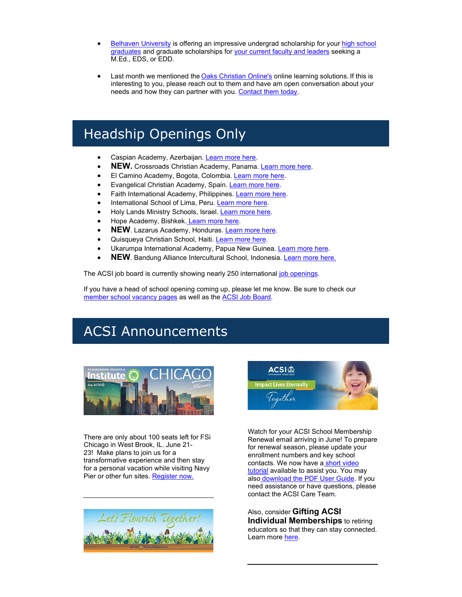- [Belhaven University](http://link.acsi.org/c/7/eyJhaSI6ODcyOTMzMTMsImUiOiJ0aW1fc2h1bWFuQGFjc2kub3JnIiwicmkiOiJjb250YWN0LTViOGU4OGI4M2I2M2U4MTE4MGQwMDJiZmMwYTgwMTcyLWRhYjgyOTA0ZjFkMDQzNWY5MDAzMWJmMzBkMjkzZTUzIiwicnEiOiIwMi1iMjIxMjMtNTk5N2EzNTQ4ZTE5NDk1Zjg4N2VhYWQwZmRiOGFlNTUiLCJwaCI6bnVsbCwibSI6ZmFsc2UsInVpIjoiMjUiLCJ1biI6IiIsInUiOiJodHRwczovL3d3dy5iZWxoYXZlbi5lZHUvP19jbGRlZT14ajJrV1JrU0Zqa1lvVTF6d0lSaW9JRmdQQjhhNFU2S1BfalRBV1MwMC1NQ0k0RktENUdTb0xjSU8zRnltLUtXJnJlY2lwaWVudGlkPWNvbnRhY3QtNWI4ZTg4YjgzYjYzZTgxMTgwZDAwMmJmYzBhODAxNzItZGFiODI5MDRmMWQwNDM1ZjkwMDMxYmYzMGQyOTNlNTMmZXNpZD02Nzk4NGEzNy02NWM2LWVjMTEtODExYi0wMDBkM2EwMWNmZDMifQ/oy945-a-UFnpjBYrN03UBw) is offering an impressive undergrad scholarship for your [high school](http://link.acsi.org/c/7/eyJhaSI6ODcyOTMzMTMsImUiOiJ0aW1fc2h1bWFuQGFjc2kub3JnIiwicmkiOiJjb250YWN0LTViOGU4OGI4M2I2M2U4MTE4MGQwMDJiZmMwYTgwMTcyLWRhYjgyOTA0ZjFkMDQzNWY5MDAzMWJmMzBkMjkzZTUzIiwicnEiOiIwMi1iMjIxMjMtNTk5N2EzNTQ4ZTE5NDk1Zjg4N2VhYWQwZmRiOGFlNTUiLCJwaCI6bnVsbCwibSI6ZmFsc2UsInVpIjoiMjYiLCJ1biI6IiIsInUiOiJodHRwczovL3d3dy5hY3NpLm9yZy9kb2NzL2RlZmF1bHQtc291cmNlL2dsb2JhbC1pbnRlcm5hdGlvbmFsL3NuYXBzaG90LWFyY2hpdmUvYWNzaV9yYWNrY2FyZF9pbnRlcm5hdGlvbmFsLTEucGRmP3NmdnJzbj1jOTRmMzQ2Ml8yJl9jbGRlZT14ajJrV1JrU0Zqa1lvVTF6d0lSaW9JRmdQQjhhNFU2S1BfalRBV1MwMC1NQ0k0RktENUdTb0xjSU8zRnltLUtXJnJlY2lwaWVudGlkPWNvbnRhY3QtNWI4ZTg4YjgzYjYzZTgxMTgwZDAwMmJmYzBhODAxNzItZGFiODI5MDRmMWQwNDM1ZjkwMDMxYmYzMGQyOTNlNTMmZXNpZD02Nzk4NGEzNy02NWM2LWVjMTEtODExYi0wMDBkM2EwMWNmZDMifQ/QcvddaCDpRxULbztWIGbVg)  [graduates](http://link.acsi.org/c/7/eyJhaSI6ODcyOTMzMTMsImUiOiJ0aW1fc2h1bWFuQGFjc2kub3JnIiwicmkiOiJjb250YWN0LTViOGU4OGI4M2I2M2U4MTE4MGQwMDJiZmMwYTgwMTcyLWRhYjgyOTA0ZjFkMDQzNWY5MDAzMWJmMzBkMjkzZTUzIiwicnEiOiIwMi1iMjIxMjMtNTk5N2EzNTQ4ZTE5NDk1Zjg4N2VhYWQwZmRiOGFlNTUiLCJwaCI6bnVsbCwibSI6ZmFsc2UsInVpIjoiMjYiLCJ1biI6IiIsInUiOiJodHRwczovL3d3dy5hY3NpLm9yZy9kb2NzL2RlZmF1bHQtc291cmNlL2dsb2JhbC1pbnRlcm5hdGlvbmFsL3NuYXBzaG90LWFyY2hpdmUvYWNzaV9yYWNrY2FyZF9pbnRlcm5hdGlvbmFsLTEucGRmP3NmdnJzbj1jOTRmMzQ2Ml8yJl9jbGRlZT14ajJrV1JrU0Zqa1lvVTF6d0lSaW9JRmdQQjhhNFU2S1BfalRBV1MwMC1NQ0k0RktENUdTb0xjSU8zRnltLUtXJnJlY2lwaWVudGlkPWNvbnRhY3QtNWI4ZTg4YjgzYjYzZTgxMTgwZDAwMmJmYzBhODAxNzItZGFiODI5MDRmMWQwNDM1ZjkwMDMxYmYzMGQyOTNlNTMmZXNpZD02Nzk4NGEzNy02NWM2LWVjMTEtODExYi0wMDBkM2EwMWNmZDMifQ/QcvddaCDpRxULbztWIGbVg) and graduate scholarships fo[r your current faculty and leaders](http://link.acsi.org/c/7/eyJhaSI6ODcyOTMzMTMsImUiOiJ0aW1fc2h1bWFuQGFjc2kub3JnIiwicmkiOiJjb250YWN0LTViOGU4OGI4M2I2M2U4MTE4MGQwMDJiZmMwYTgwMTcyLWRhYjgyOTA0ZjFkMDQzNWY5MDAzMWJmMzBkMjkzZTUzIiwicnEiOiIwMi1iMjIxMjMtNTk5N2EzNTQ4ZTE5NDk1Zjg4N2VhYWQwZmRiOGFlNTUiLCJwaCI6bnVsbCwibSI6ZmFsc2UsInVpIjoiMjciLCJ1biI6IiIsInUiOiJodHRwczovL3d3dy5hY3NpLm9yZy9kb2NzL2RlZmF1bHQtc291cmNlL2dsb2JhbC1pbnRlcm5hdGlvbmFsL3NuYXBzaG90LWFyY2hpdmUvYWNzaV9yYWNrY2FyZF9mb3JfYWRtaW5pc3RyYXRvcnMtMS5wZGY_c2Z2cnNuPWNjODhmY2RiXzImX2NsZGVlPXhqMmtXUmtTRmprWW9VMXp3SVJpb0lGZ1BCOGE0VTZLUF9qVEFXUzAwLU1DSTRGS0Q1R1NvTGNJTzNGeW0tS1cmcmVjaXBpZW50aWQ9Y29udGFjdC01YjhlODhiODNiNjNlODExODBkMDAyYmZjMGE4MDE3Mi1kYWI4MjkwNGYxZDA0MzVmOTAwMzFiZjMwZDI5M2U1MyZlc2lkPTY3OTg0YTM3LTY1YzYtZWMxMS04MTFiLTAwMGQzYTAxY2ZkMyJ9/EUIrM1d2Hms11LsldK1Nog) seeking a M.Ed., EDS, or EDD.
- Last month we mentioned the [Oaks Christian Online's](http://link.acsi.org/c/7/eyJhaSI6ODcyOTMzMTMsImUiOiJ0aW1fc2h1bWFuQGFjc2kub3JnIiwicmkiOiJjb250YWN0LTViOGU4OGI4M2I2M2U4MTE4MGQwMDJiZmMwYTgwMTcyLWRhYjgyOTA0ZjFkMDQzNWY5MDAzMWJmMzBkMjkzZTUzIiwicnEiOiIwMi1iMjIxMjMtNTk5N2EzNTQ4ZTE5NDk1Zjg4N2VhYWQwZmRiOGFlNTUiLCJwaCI6bnVsbCwibSI6ZmFsc2UsInVpIjoiMjgiLCJ1biI6IiIsInUiOiJodHRwczovL3d3dy5vYWtzY2hyaXN0aWFub25saW5lLm9yZy9hY3NpLz9fY2xkZWU9eGoya1dSa1NGamtZb1UxendJUmlvSUZnUEI4YTRVNktQX2pUQVdTMDAtTUNJNEZLRDVHU29MY0lPM0Z5bS1LVyZyZWNpcGllbnRpZD1jb250YWN0LTViOGU4OGI4M2I2M2U4MTE4MGQwMDJiZmMwYTgwMTcyLWRhYjgyOTA0ZjFkMDQzNWY5MDAzMWJmMzBkMjkzZTUzJmVzaWQ9Njc5ODRhMzctNjVjNi1lYzExLTgxMWItMDAwZDNhMDFjZmQzIn0/yiZpXpvJf-OxSoBsVUhlGQ) online learning solutions. If this is interesting to you, please reach out to them and have am open conversation about your needs and how they can partner with you. [Contact them today.](http://link.acsi.org/c/7/eyJhaSI6ODcyOTMzMTMsImUiOiJ0aW1fc2h1bWFuQGFjc2kub3JnIiwicmkiOiJjb250YWN0LTViOGU4OGI4M2I2M2U4MTE4MGQwMDJiZmMwYTgwMTcyLWRhYjgyOTA0ZjFkMDQzNWY5MDAzMWJmMzBkMjkzZTUzIiwicnEiOiIwMi1iMjIxMjMtNTk5N2EzNTQ4ZTE5NDk1Zjg4N2VhYWQwZmRiOGFlNTUiLCJwaCI6bnVsbCwibSI6ZmFsc2UsInVpIjoiMjkiLCJ1biI6IiIsInUiOiJodHRwczovL3d3dy5vYWtzY2hyaXN0aWFub25saW5lLm9yZy9hY3NpLz9fY2xkZWU9eGoya1dSa1NGamtZb1UxendJUmlvSUZnUEI4YTRVNktQX2pUQVdTMDAtTUNJNEZLRDVHU29MY0lPM0Z5bS1LVyZyZWNpcGllbnRpZD1jb250YWN0LTViOGU4OGI4M2I2M2U4MTE4MGQwMDJiZmMwYTgwMTcyLWRhYjgyOTA0ZjFkMDQzNWY5MDAzMWJmMzBkMjkzZTUzJmVzaWQ9Njc5ODRhMzctNjVjNi1lYzExLTgxMWItMDAwZDNhMDFjZmQzIn0/qQWzMJDaT9DSjlbPHhAa1Q)

# Headship Openings Only

- Caspian Academy, Azerbaijan[. Learn more here.](http://link.acsi.org/c/7/eyJhaSI6ODcyOTMzMTMsImUiOiJ0aW1fc2h1bWFuQGFjc2kub3JnIiwicmkiOiJjb250YWN0LTViOGU4OGI4M2I2M2U4MTE4MGQwMDJiZmMwYTgwMTcyLWRhYjgyOTA0ZjFkMDQzNWY5MDAzMWJmMzBkMjkzZTUzIiwicnEiOiIwMi1iMjIxMjMtNTk5N2EzNTQ4ZTE5NDk1Zjg4N2VhYWQwZmRiOGFlNTUiLCJwaCI6bnVsbCwibSI6ZmFsc2UsInVpIjoiMzAiLCJ1biI6IiIsInUiOiJodHRwczovL3d3dy5nbG9iYWxzY2hvb2xzZWFyY2hlcy5vcmcvbGVhZGVyc2hpcC1zZWFyY2hlcy9oZWFkLW9mLXNjaG9vbC1jYXNwaWFuLWFjYWRlbXktYXplcmJhaWphbj9fY2xkZWU9eGoya1dSa1NGamtZb1UxendJUmlvSUZnUEI4YTRVNktQX2pUQVdTMDAtTUNJNEZLRDVHU29MY0lPM0Z5bS1LVyZyZWNpcGllbnRpZD1jb250YWN0LTViOGU4OGI4M2I2M2U4MTE4MGQwMDJiZmMwYTgwMTcyLWRhYjgyOTA0ZjFkMDQzNWY5MDAzMWJmMzBkMjkzZTUzJmVzaWQ9Njc5ODRhMzctNjVjNi1lYzExLTgxMWItMDAwZDNhMDFjZmQzIn0/VNEEuW80fd6UU4fk9QopzA)
- **NEW.** Crossroads Christian Academy, Panama. Learn more here.
- El Camino Academy, Bogota, Colombia. [Learn more here.](http://link.acsi.org/c/7/eyJhaSI6ODcyOTMzMTMsImUiOiJ0aW1fc2h1bWFuQGFjc2kub3JnIiwicmkiOiJjb250YWN0LTViOGU4OGI4M2I2M2U4MTE4MGQwMDJiZmMwYTgwMTcyLWRhYjgyOTA0ZjFkMDQzNWY5MDAzMWJmMzBkMjkzZTUzIiwicnEiOiIwMi1iMjIxMjMtNTk5N2EzNTQ4ZTE5NDk1Zjg4N2VhYWQwZmRiOGFlNTUiLCJwaCI6bnVsbCwibSI6ZmFsc2UsInVpIjoiMzIiLCJ1biI6IiIsInUiOiJodHRwczovL3d3dy5nbG9iYWxzY2hvb2xzZWFyY2hlcy5vcmcvbGVhZGVyc2hpcC1zZWFyY2hlcy9nZW5lcmFsLWRpcmVjdG9yLWJvZ290YS1jb2xvbWJpYT9fY2xkZWU9eGoya1dSa1NGamtZb1UxendJUmlvSUZnUEI4YTRVNktQX2pUQVdTMDAtTUNJNEZLRDVHU29MY0lPM0Z5bS1LVyZyZWNpcGllbnRpZD1jb250YWN0LTViOGU4OGI4M2I2M2U4MTE4MGQwMDJiZmMwYTgwMTcyLWRhYjgyOTA0ZjFkMDQzNWY5MDAzMWJmMzBkMjkzZTUzJmVzaWQ9Njc5ODRhMzctNjVjNi1lYzExLTgxMWItMDAwZDNhMDFjZmQzIn0/qhpx-ba-GsW6CmhF6Fjdzw)
- Evangelical Christian Academy, Spain. [Learn more here.](http://link.acsi.org/c/7/eyJhaSI6ODcyOTMzMTMsImUiOiJ0aW1fc2h1bWFuQGFjc2kub3JnIiwicmkiOiJjb250YWN0LTViOGU4OGI4M2I2M2U4MTE4MGQwMDJiZmMwYTgwMTcyLWRhYjgyOTA0ZjFkMDQzNWY5MDAzMWJmMzBkMjkzZTUzIiwicnEiOiIwMi1iMjIxMjMtNTk5N2EzNTQ4ZTE5NDk1Zjg4N2VhYWQwZmRiOGFlNTUiLCJwaCI6bnVsbCwibSI6ZmFsc2UsInVpIjoiMzMiLCJ1biI6IiIsInUiOiJodHRwczovL25ldy5lY2FzcGFpbi5jb20vdGhlLWRpcmVjdG9yLW9mLXRoZS1ldmFuZ2VsaWNhbC1jaHJpc3RpYW4tYWNhZGVteS8_X2NsZGVlPXhqMmtXUmtTRmprWW9VMXp3SVJpb0lGZ1BCOGE0VTZLUF9qVEFXUzAwLU1DSTRGS0Q1R1NvTGNJTzNGeW0tS1cmcmVjaXBpZW50aWQ9Y29udGFjdC01YjhlODhiODNiNjNlODExODBkMDAyYmZjMGE4MDE3Mi1kYWI4MjkwNGYxZDA0MzVmOTAwMzFiZjMwZDI5M2U1MyZlc2lkPTY3OTg0YTM3LTY1YzYtZWMxMS04MTFiLTAwMGQzYTAxY2ZkMyJ9/9_T2gV1BMS3mfbUNL98jag)
- Faith International Academy, Philippines[. Learn more here.](http://link.acsi.org/c/7/eyJhaSI6ODcyOTMzMTMsImUiOiJ0aW1fc2h1bWFuQGFjc2kub3JnIiwicmkiOiJjb250YWN0LTViOGU4OGI4M2I2M2U4MTE4MGQwMDJiZmMwYTgwMTcyLWRhYjgyOTA0ZjFkMDQzNWY5MDAzMWJmMzBkMjkzZTUzIiwicnEiOiIwMi1iMjIxMjMtNTk5N2EzNTQ4ZTE5NDk1Zjg4N2VhYWQwZmRiOGFlNTUiLCJwaCI6bnVsbCwibSI6ZmFsc2UsInVpIjoiMzQiLCJ1biI6IiIsInUiOiJodHRwczovL2RvY3MuZ29vZ2xlLmNvbS9kb2N1bWVudC9kLzFZOEpZNC1fVG5nTlhPZWZLd1JvMGNMUXdvd2Q3UV9WZnVRT1JiTkN4djNNL2VkaXQ_X2NsZGVlPXhqMmtXUmtTRmprWW9VMXp3SVJpb0lGZ1BCOGE0VTZLUF9qVEFXUzAwLU1DSTRGS0Q1R1NvTGNJTzNGeW0tS1cmcmVjaXBpZW50aWQ9Y29udGFjdC01YjhlODhiODNiNjNlODExODBkMDAyYmZjMGE4MDE3Mi1kYWI4MjkwNGYxZDA0MzVmOTAwMzFiZjMwZDI5M2U1MyZlc2lkPTY3OTg0YTM3LTY1YzYtZWMxMS04MTFiLTAwMGQzYTAxY2ZkMyJ9/ZP2BgPtoth2dToXX9oz2Zg)
- International School of Lima, Peru[. Learn more here.](http://link.acsi.org/c/7/eyJhaSI6ODcyOTMzMTMsImUiOiJ0aW1fc2h1bWFuQGFjc2kub3JnIiwicmkiOiJjb250YWN0LTViOGU4OGI4M2I2M2U4MTE4MGQwMDJiZmMwYTgwMTcyLWRhYjgyOTA0ZjFkMDQzNWY5MDAzMWJmMzBkMjkzZTUzIiwicnEiOiIwMi1iMjIxMjMtNTk5N2EzNTQ4ZTE5NDk1Zjg4N2VhYWQwZmRiOGFlNTUiLCJwaCI6bnVsbCwibSI6ZmFsc2UsInVpIjoiMzUiLCJ1biI6IiIsInUiOiJodHRwczovL3d3dy5uaWNzLm9yZy9jYXJlZXItb3Bwb3J0dW5pdGllcy9pbnRlcm5hdGlvbmFsLWNocmlzdGlhbi1zY2hvb2wtbGltYS9hZG1pbmlzdHJhdG9yLXNjaG9vbC1kaXJlY3Rvci0yLz9fY2xkZWU9eGoya1dSa1NGamtZb1UxendJUmlvSUZnUEI4YTRVNktQX2pUQVdTMDAtTUNJNEZLRDVHU29MY0lPM0Z5bS1LVyZyZWNpcGllbnRpZD1jb250YWN0LTViOGU4OGI4M2I2M2U4MTE4MGQwMDJiZmMwYTgwMTcyLWRhYjgyOTA0ZjFkMDQzNWY5MDAzMWJmMzBkMjkzZTUzJmVzaWQ9Njc5ODRhMzctNjVjNi1lYzExLTgxMWItMDAwZDNhMDFjZmQzIn0/J-tfLQ1L8g43H9_U41sJlA)
- Holy Lands Ministry Schools, Israel. [Learn more here.](http://link.acsi.org/c/7/eyJhaSI6ODcyOTMzMTMsImUiOiJ0aW1fc2h1bWFuQGFjc2kub3JnIiwicmkiOiJjb250YWN0LTViOGU4OGI4M2I2M2U4MTE4MGQwMDJiZmMwYTgwMTcyLWRhYjgyOTA0ZjFkMDQzNWY5MDAzMWJmMzBkMjkzZTUzIiwicnEiOiIwMi1iMjIxMjMtNTk5N2EzNTQ4ZTE5NDk1Zjg4N2VhYWQwZmRiOGFlNTUiLCJwaCI6bnVsbCwibSI6ZmFsc2UsInVpIjoiMzYiLCJ1biI6IiIsInUiOiJodHRwczovL3d3dy5nbG9iYWxzY2hvb2xzZWFyY2hlcy5vcmcvbGVhZGVyc2hpcC1zZWFyY2hlcy9leGVjdXRpdmUtZGlyZWN0b3ItaG9seS1sYW5kLW1pbmlzdHJpZXMtc2Nob29scy1wYWxlc3RpbmU_X2NsZGVlPXhqMmtXUmtTRmprWW9VMXp3SVJpb0lGZ1BCOGE0VTZLUF9qVEFXUzAwLU1DSTRGS0Q1R1NvTGNJTzNGeW0tS1cmcmVjaXBpZW50aWQ9Y29udGFjdC01YjhlODhiODNiNjNlODExODBkMDAyYmZjMGE4MDE3Mi1kYWI4MjkwNGYxZDA0MzVmOTAwMzFiZjMwZDI5M2U1MyZlc2lkPTY3OTg0YTM3LTY1YzYtZWMxMS04MTFiLTAwMGQzYTAxY2ZkMyJ9/8VvzbC63IUv8DbXH3I6iaw)
- Hope Academy, Bishkek. [Learn more here.](http://link.acsi.org/c/7/eyJhaSI6ODcyOTMzMTMsImUiOiJ0aW1fc2h1bWFuQGFjc2kub3JnIiwicmkiOiJjb250YWN0LTViOGU4OGI4M2I2M2U4MTE4MGQwMDJiZmMwYTgwMTcyLWRhYjgyOTA0ZjFkMDQzNWY5MDAzMWJmMzBkMjkzZTUzIiwicnEiOiIwMi1iMjIxMjMtNTk5N2EzNTQ4ZTE5NDk1Zjg4N2VhYWQwZmRiOGFlNTUiLCJwaCI6bnVsbCwibSI6ZmFsc2UsInVpIjoiMzciLCJ1biI6IiIsInUiOiJodHRwczovL3d3dy5nbG9iYWxzY2hvb2xzZWFyY2hlcy5vcmcvbGVhZGVyc2hpcC1zZWFyY2hlcy9kaXJlY3Rvci1iaXNoa2VrLWt5cmd5ei1yZXB1YmxpYz9fY2xkZWU9eGoya1dSa1NGamtZb1UxendJUmlvSUZnUEI4YTRVNktQX2pUQVdTMDAtTUNJNEZLRDVHU29MY0lPM0Z5bS1LVyZyZWNpcGllbnRpZD1jb250YWN0LTViOGU4OGI4M2I2M2U4MTE4MGQwMDJiZmMwYTgwMTcyLWRhYjgyOTA0ZjFkMDQzNWY5MDAzMWJmMzBkMjkzZTUzJmVzaWQ9Njc5ODRhMzctNjVjNi1lYzExLTgxMWItMDAwZDNhMDFjZmQzIn0/c9wJTD8jFXqvNym891-qEQ)
- **NEW**. Lazarus Academy, Honduras. Learn more here.
- Quisqueya Christian School, Haiti. [Learn more here.](http://link.acsi.org/c/7/eyJhaSI6ODcyOTMzMTMsImUiOiJ0aW1fc2h1bWFuQGFjc2kub3JnIiwicmkiOiJjb250YWN0LTViOGU4OGI4M2I2M2U4MTE4MGQwMDJiZmMwYTgwMTcyLWRhYjgyOTA0ZjFkMDQzNWY5MDAzMWJmMzBkMjkzZTUzIiwicnEiOiIwMi1iMjIxMjMtNTk5N2EzNTQ4ZTE5NDk1Zjg4N2VhYWQwZmRiOGFlNTUiLCJwaCI6bnVsbCwibSI6ZmFsc2UsInVpIjoiMzkiLCJ1biI6IiIsInUiOiJodHRwczovL3d3dy5nbG9iYWxzY2hvb2xzZWFyY2hlcy5vcmcvbGVhZGVyc2hpcC1zZWFyY2hlcy9oZWFkLW9mLXNjaG9vbC1wb3J0LWF1LXByaW5jZS1oYWl0aT9fY2xkZWU9eGoya1dSa1NGamtZb1UxendJUmlvSUZnUEI4YTRVNktQX2pUQVdTMDAtTUNJNEZLRDVHU29MY0lPM0Z5bS1LVyZyZWNpcGllbnRpZD1jb250YWN0LTViOGU4OGI4M2I2M2U4MTE4MGQwMDJiZmMwYTgwMTcyLWRhYjgyOTA0ZjFkMDQzNWY5MDAzMWJmMzBkMjkzZTUzJmVzaWQ9Njc5ODRhMzctNjVjNi1lYzExLTgxMWItMDAwZDNhMDFjZmQzIn0/AUHGcOz-GxPsPfcRK8vgoQ)
- Ukarumpa International Academy, Papua New Guinea[. Learn more here.](http://link.acsi.org/c/7/eyJhaSI6ODcyOTMzMTMsImUiOiJ0aW1fc2h1bWFuQGFjc2kub3JnIiwicmkiOiJjb250YWN0LTViOGU4OGI4M2I2M2U4MTE4MGQwMDJiZmMwYTgwMTcyLWRhYjgyOTA0ZjFkMDQzNWY5MDAzMWJmMzBkMjkzZTUzIiwicnEiOiIwMi1iMjIxMjMtNTk5N2EzNTQ4ZTE5NDk1Zjg4N2VhYWQwZmRiOGFlNTUiLCJwaCI6bnVsbCwibSI6ZmFsc2UsInVpIjoiNDAiLCJ1biI6IiIsInUiOiJodHRwczovL3VrYXJ1bXBhaW50ZXJuYXRpb25hbHNjaG9vbC5vcmcvc2VydmUtYXQtdWlzLz9fY2xkZWU9eGoya1dSa1NGamtZb1UxendJUmlvSUZnUEI4YTRVNktQX2pUQVdTMDAtTUNJNEZLRDVHU29MY0lPM0Z5bS1LVyZyZWNpcGllbnRpZD1jb250YWN0LTViOGU4OGI4M2I2M2U4MTE4MGQwMDJiZmMwYTgwMTcyLWRhYjgyOTA0ZjFkMDQzNWY5MDAzMWJmMzBkMjkzZTUzJmVzaWQ9Njc5ODRhMzctNjVjNi1lYzExLTgxMWItMDAwZDNhMDFjZmQzIn0/RucWLjgGDwQdzVTH-_uKHw)
- **NEW**. Bandung Alliance Intercultural School, Indonesia. Learn more here.

The ACSI job board is currently showing nearly 250 international <u>job openings</u>.

If you have a head of school opening coming up, please let me know. Be sure to check our [member school vacancy pages](http://link.acsi.org/c/7/eyJhaSI6ODcyOTMzMTMsImUiOiJ0aW1fc2h1bWFuQGFjc2kub3JnIiwicmkiOiJjb250YWN0LTViOGU4OGI4M2I2M2U4MTE4MGQwMDJiZmMwYTgwMTcyLWRhYjgyOTA0ZjFkMDQzNWY5MDAzMWJmMzBkMjkzZTUzIiwicnEiOiIwMi1iMjIxMjMtNTk5N2EzNTQ4ZTE5NDk1Zjg4N2VhYWQwZmRiOGFlNTUiLCJwaCI6bnVsbCwibSI6ZmFsc2UsInVpIjoiNDMiLCJ1biI6IiIsInUiOiJodHRwczovL2NvbW11bml0eS5hY3NpLm9yZy9nbG9iYWwvaW50ZXJuYXRpb25hbC9pc2otdmFjP19jbGRlZT14ajJrV1JrU0Zqa1lvVTF6d0lSaW9JRmdQQjhhNFU2S1BfalRBV1MwMC1NQ0k0RktENUdTb0xjSU8zRnltLUtXJnJlY2lwaWVudGlkPWNvbnRhY3QtNWI4ZTg4YjgzYjYzZTgxMTgwZDAwMmJmYzBhODAxNzItZGFiODI5MDRmMWQwNDM1ZjkwMDMxYmYzMGQyOTNlNTMmZXNpZD02Nzk4NGEzNy02NWM2LWVjMTEtODExYi0wMDBkM2EwMWNmZDMifQ/N7RAYNo4wizfR5oIXFrgYw) as well as th[e ACSI Job Board.](http://link.acsi.org/c/7/eyJhaSI6ODcyOTMzMTMsImUiOiJ0aW1fc2h1bWFuQGFjc2kub3JnIiwicmkiOiJjb250YWN0LTViOGU4OGI4M2I2M2U4MTE4MGQwMDJiZmMwYTgwMTcyLWRhYjgyOTA0ZjFkMDQzNWY5MDAzMWJmMzBkMjkzZTUzIiwicnEiOiIwMi1iMjIxMjMtNTk5N2EzNTQ4ZTE5NDk1Zjg4N2VhYWQwZmRiOGFlNTUiLCJwaCI6bnVsbCwibSI6ZmFsc2UsInVpIjoiNDQiLCJ1biI6IiIsInUiOiJodHRwczovL2NhcmVlcnMuYWNzaS5vcmcvP19jbGRlZT14ajJrV1JrU0Zqa1lvVTF6d0lSaW9JRmdQQjhhNFU2S1BfalRBV1MwMC1NQ0k0RktENUdTb0xjSU8zRnltLUtXJnJlY2lwaWVudGlkPWNvbnRhY3QtNWI4ZTg4YjgzYjYzZTgxMTgwZDAwMmJmYzBhODAxNzItZGFiODI5MDRmMWQwNDM1ZjkwMDMxYmYzMGQyOTNlNTMmZXNpZD02Nzk4NGEzNy02NWM2LWVjMTEtODExYi0wMDBkM2EwMWNmZDMifQ/-rFazvNIIb17iqKVVVDrvQ)

# ACSI Announcements



There are only about 100 seats left for FSi Chicago in West Brook, IL. June 21- 23! Make plans to join us for a transformative experience and then stay for a personal vacation while visiting Navy Pier or other fun sites[. Register now.](http://link.acsi.org/c/7/eyJhaSI6ODcyOTMzMTMsImUiOiJ0aW1fc2h1bWFuQGFjc2kub3JnIiwicmkiOiJjb250YWN0LTViOGU4OGI4M2I2M2U4MTE4MGQwMDJiZmMwYTgwMTcyLWRhYjgyOTA0ZjFkMDQzNWY5MDAzMWJmMzBkMjkzZTUzIiwicnEiOiIwMi1iMjIxMjMtNTk5N2EzNTQ4ZTE5NDk1Zjg4N2VhYWQwZmRiOGFlNTUiLCJwaCI6bnVsbCwibSI6ZmFsc2UsInVpIjoiNDciLCJ1biI6IiIsInUiOiJodHRwczovL3d3dy5hY3NpLm9yZy9mbG91cmlzaGluZy1zY2hvb2xzLWluc3RpdHV0ZT9fY2xkZWU9eGoya1dSa1NGamtZb1UxendJUmlvSUZnUEI4YTRVNktQX2pUQVdTMDAtTUNJNEZLRDVHU29MY0lPM0Z5bS1LVyZyZWNpcGllbnRpZD1jb250YWN0LTViOGU4OGI4M2I2M2U4MTE4MGQwMDJiZmMwYTgwMTcyLWRhYjgyOTA0ZjFkMDQzNWY5MDAzMWJmMzBkMjkzZTUzJmVzaWQ9Njc5ODRhMzctNjVjNi1lYzExLTgxMWItMDAwZDNhMDFjZmQzIn0/rDALqYRkdAPtxRRFpMBcqA)





Watch for your ACSI School Membership Renewal email arriving in June! To prepare for renewal season, please update your enrollment numbers and key school contacts. We now have a short video [tutorial](http://link.acsi.org/c/7/eyJhaSI6ODcyOTMzMTMsImUiOiJ0aW1fc2h1bWFuQGFjc2kub3JnIiwicmkiOiJjb250YWN0LTViOGU4OGI4M2I2M2U4MTE4MGQwMDJiZmMwYTgwMTcyLWRhYjgyOTA0ZjFkMDQzNWY5MDAzMWJmMzBkMjkzZTUzIiwicnEiOiIwMi1iMjIxMjMtNTk5N2EzNTQ4ZTE5NDk1Zjg4N2VhYWQwZmRiOGFlNTUiLCJwaCI6bnVsbCwibSI6ZmFsc2UsInVpIjoiNTMiLCJ1biI6IiIsInUiOiJodHRwczovL3ZpbWVvLmNvbS83MDA0OTc3MzE_X2NsZGVlPXhqMmtXUmtTRmprWW9VMXp3SVJpb0lGZ1BCOGE0VTZLUF9qVEFXUzAwLU1DSTRGS0Q1R1NvTGNJTzNGeW0tS1cmcmVjaXBpZW50aWQ9Y29udGFjdC01YjhlODhiODNiNjNlODExODBkMDAyYmZjMGE4MDE3Mi1kYWI4MjkwNGYxZDA0MzVmOTAwMzFiZjMwZDI5M2U1MyZlc2lkPTY3OTg0YTM3LTY1YzYtZWMxMS04MTFiLTAwMGQzYTAxY2ZkMyJ9/qdgGaODqGNIDr4qau31QYw) available to assist you. You may also download the PDF User Guide</u>. If you need assistance or have questions, please contact the ACSI Care Team.

Also, consider **Gifting ACSI Individual Memberships** to retiring educators so that they can stay connected. Learn more [here.](http://link.acsi.org/c/7/eyJhaSI6ODcyOTMzMTMsImUiOiJ0aW1fc2h1bWFuQGFjc2kub3JnIiwicmkiOiJjb250YWN0LTViOGU4OGI4M2I2M2U4MTE4MGQwMDJiZmMwYTgwMTcyLWRhYjgyOTA0ZjFkMDQzNWY5MDAzMWJmMzBkMjkzZTUzIiwicnEiOiIwMi1iMjIxMjMtNTk5N2EzNTQ4ZTE5NDk1Zjg4N2VhYWQwZmRiOGFlNTUiLCJwaCI6bnVsbCwibSI6ZmFsc2UsInVpIjoiNTUiLCJ1biI6IiIsInUiOiJodHRwczovL3d3dy5hY3NpLm9yZy9tZW1iZXJzaGlwL2pvaW4tYWNzaS9pbmRpdmlkdWFsLW1lbWJlcnNoaXA_X2NsZGVlPXhqMmtXUmtTRmprWW9VMXp3SVJpb0lGZ1BCOGE0VTZLUF9qVEFXUzAwLU1DSTRGS0Q1R1NvTGNJTzNGeW0tS1cmcmVjaXBpZW50aWQ9Y29udGFjdC01YjhlODhiODNiNjNlODExODBkMDAyYmZjMGE4MDE3Mi1kYWI4MjkwNGYxZDA0MzVmOTAwMzFiZjMwZDI5M2U1MyZlc2lkPTY3OTg0YTM3LTY1YzYtZWMxMS04MTFiLTAwMGQzYTAxY2ZkMyJ9/skkNoBDer8ADBRSaXlCcrg)